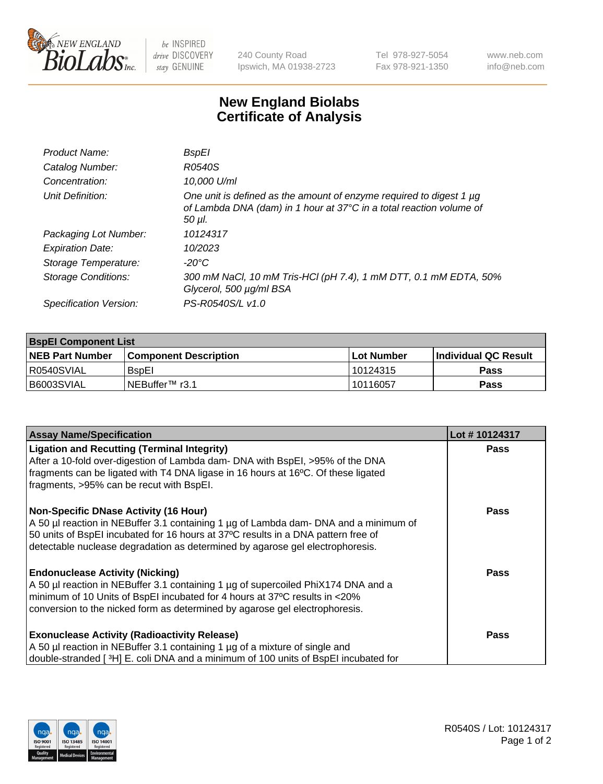

 $be$  INSPIRED drive DISCOVERY stay GENUINE

240 County Road Ipswich, MA 01938-2723 Tel 978-927-5054 Fax 978-921-1350 www.neb.com info@neb.com

## **New England Biolabs Certificate of Analysis**

| Product Name:           | BspEl                                                                                                                                                     |
|-------------------------|-----------------------------------------------------------------------------------------------------------------------------------------------------------|
| Catalog Number:         | R0540S                                                                                                                                                    |
| Concentration:          | 10,000 U/ml                                                                                                                                               |
| Unit Definition:        | One unit is defined as the amount of enzyme required to digest 1 $\mu$ g<br>of Lambda DNA (dam) in 1 hour at 37°C in a total reaction volume of<br>50 µI. |
| Packaging Lot Number:   | 10124317                                                                                                                                                  |
| <b>Expiration Date:</b> | 10/2023                                                                                                                                                   |
| Storage Temperature:    | $-20^{\circ}$ C                                                                                                                                           |
| Storage Conditions:     | 300 mM NaCl, 10 mM Tris-HCl (pH 7.4), 1 mM DTT, 0.1 mM EDTA, 50%<br>Glycerol, 500 µg/ml BSA                                                               |
| Specification Version:  | PS-R0540S/L v1.0                                                                                                                                          |

| <b>BspEl Component List</b> |                         |              |                             |  |  |
|-----------------------------|-------------------------|--------------|-----------------------------|--|--|
| <b>NEB Part Number</b>      | l Component Description | l Lot Number | <b>Individual QC Result</b> |  |  |
| I R0540SVIAL                | <b>B</b> spEI           | 10124315     | Pass                        |  |  |
| I B6003SVIAL                | l NEBuffer™ r3.1        | 10116057     | <b>Pass</b>                 |  |  |

| <b>Assay Name/Specification</b>                                                                                                                                                                                                                                                                     | Lot #10124317 |
|-----------------------------------------------------------------------------------------------------------------------------------------------------------------------------------------------------------------------------------------------------------------------------------------------------|---------------|
| <b>Ligation and Recutting (Terminal Integrity)</b><br>After a 10-fold over-digestion of Lambda dam- DNA with BspEI, >95% of the DNA<br>fragments can be ligated with T4 DNA ligase in 16 hours at 16°C. Of these ligated<br>fragments, >95% can be recut with BspEI.                                | <b>Pass</b>   |
| Non-Specific DNase Activity (16 Hour)<br>A 50 µl reaction in NEBuffer 3.1 containing 1 µg of Lambda dam- DNA and a minimum of<br>50 units of BspEI incubated for 16 hours at 37°C results in a DNA pattern free of<br>detectable nuclease degradation as determined by agarose gel electrophoresis. | Pass          |
| <b>Endonuclease Activity (Nicking)</b><br>A 50 µl reaction in NEBuffer 3.1 containing 1 µg of supercoiled PhiX174 DNA and a<br>minimum of 10 Units of BspEI incubated for 4 hours at 37°C results in <20%<br>conversion to the nicked form as determined by agarose gel electrophoresis.            | <b>Pass</b>   |
| <b>Exonuclease Activity (Radioactivity Release)</b><br>A 50 µl reaction in NEBuffer 3.1 containing 1 µg of a mixture of single and<br>double-stranded [3H] E. coli DNA and a minimum of 100 units of BspEI incubated for                                                                            | Pass          |